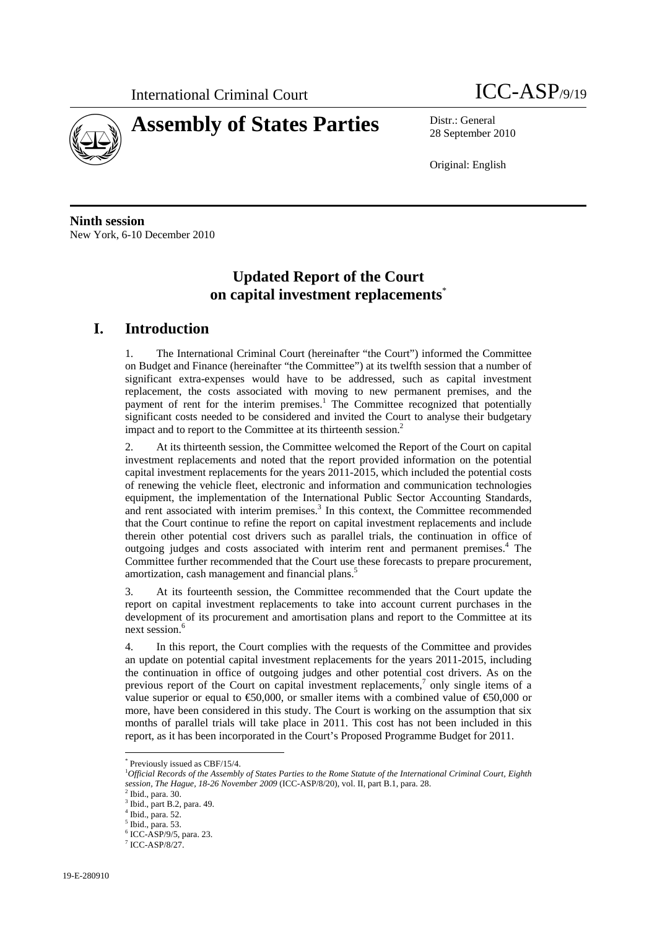



28 September 2010

Original: English

**Ninth session**  New York, 6-10 December 2010

# **Updated Report of the Court on capital investment replacements**\*

# **I. Introduction**

1. The International Criminal Court (hereinafter "the Court") informed the Committee on Budget and Finance (hereinafter "the Committee") at its twelfth session that a number of significant extra-expenses would have to be addressed, such as capital investment replacement, the costs associated with moving to new permanent premises, and the payment of rent for the interim premises.<sup>1</sup> The Committee recognized that potentially significant costs needed to be considered and invited the Court to analyse their budgetary impact and to report to the Committee at its thirteenth session.<sup>2</sup>

2. At its thirteenth session, the Committee welcomed the Report of the Court on capital investment replacements and noted that the report provided information on the potential capital investment replacements for the years 2011-2015, which included the potential costs of renewing the vehicle fleet, electronic and information and communication technologies equipment, the implementation of the International Public Sector Accounting Standards, and rent associated with interim premises.<sup>3</sup> In this context, the Committee recommended that the Court continue to refine the report on capital investment replacements and include therein other potential cost drivers such as parallel trials, the continuation in office of outgoing judges and costs associated with interim rent and permanent premises.<sup>4</sup> The Committee further recommended that the Court use these forecasts to prepare procurement, amortization, cash management and financial plans.<sup>5</sup>

3. At its fourteenth session, the Committee recommended that the Court update the report on capital investment replacements to take into account current purchases in the development of its procurement and amortisation plans and report to the Committee at its next session.<sup>6</sup>

4. In this report, the Court complies with the requests of the Committee and provides an update on potential capital investment replacements for the years 2011-2015, including the continuation in office of outgoing judges and other potential cost drivers. As on the previous report of the Court on capital investment replacements,<sup>7</sup> only single items of a value superior or equal to  $\epsilon$ 50,000, or smaller items with a combined value of  $\epsilon$ 50,000 or more, have been considered in this study. The Court is working on the assumption that six months of parallel trials will take place in 2011. This cost has not been included in this report, as it has been incorporated in the Court's Proposed Programme Budget for 2011.

<sup>\*</sup> Previously issued as CBF/15/4.

<sup>1</sup> *Official Records of the Assembly of States Parties to the Rome Statute of the International Criminal Court, Eighth session, The Hague, 18-26 November 2009* (ICC-ASP/8/20), vol. II, part B.1, para. 28.

 $^2$  Ibid., para. 30.

Ibid., part B.2, para. 49.

<sup>4</sup> Ibid., para. 52.

 $^5$  Ibid., para. 53.

ICC-ASP/9/5, para. 23.

<sup>7</sup> ICC-ASP/8/27.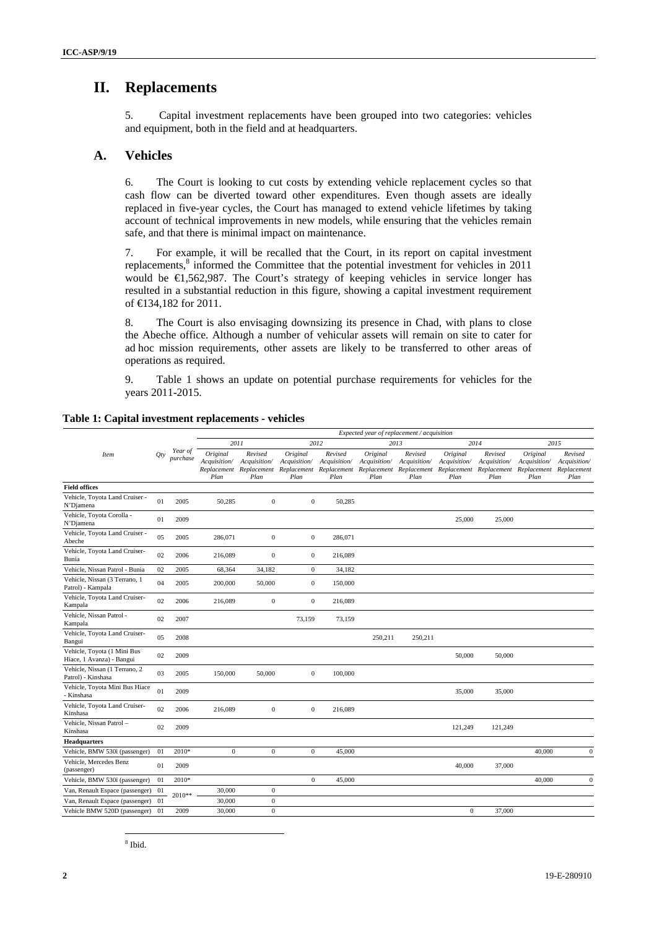## **II. Replacements**

5. Capital investment replacements have been grouped into two categories: vehicles and equipment, both in the field and at headquarters.

#### **A. Vehicles**

6. The Court is looking to cut costs by extending vehicle replacement cycles so that cash flow can be diverted toward other expenditures. Even though assets are ideally replaced in five-year cycles, the Court has managed to extend vehicle lifetimes by taking account of technical improvements in new models, while ensuring that the vehicles remain safe, and that there is minimal impact on maintenance.

7. For example, it will be recalled that the Court, in its report on capital investment replacements,<sup>8</sup> informed the Committee that the potential investment for vehicles in 2011 would be €1,562,987. The Court's strategy of keeping vehicles in service longer has resulted in a substantial reduction in this figure, showing a capital investment requirement of €134,182 for 2011.

8. The Court is also envisaging downsizing its presence in Chad, with plans to close the Abeche office. Although a number of vehicular assets will remain on site to cater for ad hoc mission requirements, other assets are likely to be transferred to other areas of operations as required.

9. Table 1 shows an update on potential purchase requirements for vehicles for the years 2011-2015.

|                                                          |     |                     |                                                 |                                                |                                                 |                                                |                                                 | Expected year of replacement / acquisition     |                                                 |                                                |                                                 |                                                |
|----------------------------------------------------------|-----|---------------------|-------------------------------------------------|------------------------------------------------|-------------------------------------------------|------------------------------------------------|-------------------------------------------------|------------------------------------------------|-------------------------------------------------|------------------------------------------------|-------------------------------------------------|------------------------------------------------|
|                                                          |     |                     |                                                 | 2011                                           |                                                 | 2012                                           |                                                 | 2013                                           |                                                 | 2014                                           |                                                 | 2015                                           |
| <b>Item</b>                                              | Qty | Year of<br>purchase | Original<br>Acquisition/<br>Replacement<br>Plan | Revised<br>Acquisition/<br>Replacement<br>Plan | Original<br>Acquisition/<br>Replacement<br>Plan | Revised<br>Acquisition/<br>Replacement<br>Plan | Original<br>Acquisition/<br>Replacement<br>Plan | Revised<br>Acquisition/<br>Replacement<br>Plan | Original<br>Acquisition/<br>Replacement<br>Plan | Revised<br>Acquisition/<br>Replacement<br>Plan | Original<br>Acquisition/<br>Replacement<br>Plan | Revised<br>Acquisition/<br>Replacement<br>Plan |
| <b>Field offices</b>                                     |     |                     |                                                 |                                                |                                                 |                                                |                                                 |                                                |                                                 |                                                |                                                 |                                                |
| Vehicle, Toyota Land Cruiser -<br>N'Djamena              | 01  | 2005                | 50,285                                          | $\boldsymbol{0}$                               | $\mathbf{0}$                                    | 50,285                                         |                                                 |                                                |                                                 |                                                |                                                 |                                                |
| Vehicle, Toyota Corolla -<br>N'Djamena                   | 01  | 2009                |                                                 |                                                |                                                 |                                                |                                                 |                                                | 25,000                                          | 25,000                                         |                                                 |                                                |
| Vehicle, Toyota Land Cruiser -<br>Abeche                 | 05  | 2005                | 286,071                                         | $\mathbf{0}$                                   | $\mathbf{0}$                                    | 286,071                                        |                                                 |                                                |                                                 |                                                |                                                 |                                                |
| Vehicle, Toyota Land Cruiser-<br>Bunia                   | 02  | 2006                | 216,089                                         | $\mathbf{0}$                                   | $\mathbf{0}$                                    | 216,089                                        |                                                 |                                                |                                                 |                                                |                                                 |                                                |
| Vehicle, Nissan Patrol - Bunia                           | 02  | 2005                | 68,364                                          | 34,182                                         | $\mathbf{0}$                                    | 34,182                                         |                                                 |                                                |                                                 |                                                |                                                 |                                                |
| Vehicle, Nissan (3 Terrano, 1<br>Patrol) - Kampala       | 04  | 2005                | 200,000                                         | 50,000                                         | $\bf{0}$                                        | 150,000                                        |                                                 |                                                |                                                 |                                                |                                                 |                                                |
| Vehicle, Toyota Land Cruiser-<br>Kampala                 | 02  | 2006                | 216,089                                         | $\boldsymbol{0}$                               | $\mathbf{0}$                                    | 216,089                                        |                                                 |                                                |                                                 |                                                |                                                 |                                                |
| Vehicle, Nissan Patrol -<br>Kampala                      | 02  | 2007                |                                                 |                                                | 73,159                                          | 73,159                                         |                                                 |                                                |                                                 |                                                |                                                 |                                                |
| Vehicle, Toyota Land Cruiser-<br>Bangui                  | 05  | 2008                |                                                 |                                                |                                                 |                                                | 250,211                                         | 250,211                                        |                                                 |                                                |                                                 |                                                |
| Vehicle, Toyota (1 Mini Bus<br>Hiace, 1 Avanza) - Bangui | 02  | 2009                |                                                 |                                                |                                                 |                                                |                                                 |                                                | 50,000                                          | 50,000                                         |                                                 |                                                |
| Vehicle, Nissan (1 Terrano, 2<br>Patrol) - Kinshasa      | 03  | 2005                | 150,000                                         | 50,000                                         | $\bf{0}$                                        | 100,000                                        |                                                 |                                                |                                                 |                                                |                                                 |                                                |
| Vehicle, Toyota Mini Bus Hiace<br>- Kinshasa             | 01  | 2009                |                                                 |                                                |                                                 |                                                |                                                 |                                                | 35,000                                          | 35,000                                         |                                                 |                                                |
| Vehicle, Toyota Land Cruiser-<br>Kinshasa                | 02  | 2006                | 216,089                                         | $\mathbf{0}$                                   | $\bf{0}$                                        | 216,089                                        |                                                 |                                                |                                                 |                                                |                                                 |                                                |
| Vehicle, Nissan Patrol-<br>Kinshasa                      | 02  | 2009                |                                                 |                                                |                                                 |                                                |                                                 |                                                | 121,249                                         | 121,249                                        |                                                 |                                                |
| <b>Headquarters</b>                                      |     |                     |                                                 |                                                |                                                 |                                                |                                                 |                                                |                                                 |                                                |                                                 |                                                |
| Vehicle, BMW 530i (passenger)                            | 01  | 2010*               | $\mathbf{0}$                                    | $\mathbf{0}$                                   | $\mathbf{0}$                                    | 45,000                                         |                                                 |                                                |                                                 |                                                | 40,000                                          | $\mathbf{0}$                                   |
| Vehicle, Mercedes Benz<br>(passenger)                    | 01  | 2009                |                                                 |                                                |                                                 |                                                |                                                 |                                                | 40,000                                          | 37,000                                         |                                                 |                                                |
| Vehicle, BMW 530i (passenger)                            | 01  | 2010*               |                                                 |                                                | $\mathbf{0}$                                    | 45,000                                         |                                                 |                                                |                                                 |                                                | 40,000                                          | $\mathbf{0}$                                   |
| Van, Renault Espace (passenger)                          | -01 | 2010**              | 30,000                                          | $\mathbf{0}$                                   |                                                 |                                                |                                                 |                                                |                                                 |                                                |                                                 |                                                |
| Van, Renault Espace (passenger)                          | 01  |                     | 30,000                                          | $\mathbf{0}$                                   |                                                 |                                                |                                                 |                                                |                                                 |                                                |                                                 |                                                |
| Vehicle BMW 520D (passenger) 01                          |     | 2009                | 30,000                                          | $\mathbf{0}$                                   |                                                 |                                                |                                                 |                                                | $\mathbf{0}$                                    | 37,000                                         |                                                 |                                                |

#### **Table 1: Capital investment replacements - vehicles**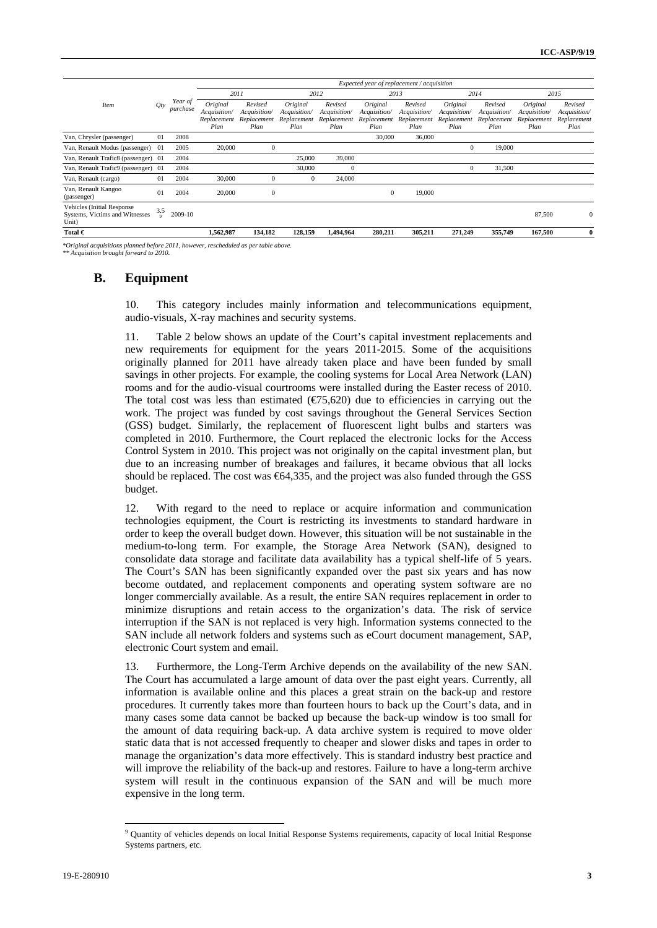|                                                                              |                 |                     | Expected year of replacement / acquisition      |                                                |                                                 |                                                |                                                 |                                                |                                                 |                                                |                                                 |                                                |
|------------------------------------------------------------------------------|-----------------|---------------------|-------------------------------------------------|------------------------------------------------|-------------------------------------------------|------------------------------------------------|-------------------------------------------------|------------------------------------------------|-------------------------------------------------|------------------------------------------------|-------------------------------------------------|------------------------------------------------|
|                                                                              |                 |                     | 2011                                            |                                                |                                                 | 2012                                           |                                                 | 2013                                           |                                                 | 2014                                           |                                                 | 2015                                           |
| <b>Item</b>                                                                  | Qty             | Year of<br>purchase | Original<br>Acquisition/<br>Replacement<br>Plan | Revised<br>Acquisition/<br>Replacement<br>Plan | Original<br>Acquisition/<br>Replacement<br>Plan | Revised<br>Acquisition/<br>Replacement<br>Plan | Original<br>Acquisition/<br>Replacement<br>Plan | Revised<br>Acquisition/<br>Replacement<br>Plan | Original<br>Acquisition/<br>Replacement<br>Plan | Revised<br>Acquisition/<br>Replacement<br>Plan | Original<br>Acquisition/<br>Replacement<br>Plan | Revised<br>Acquisition/<br>Replacement<br>Plan |
| Van, Chrysler (passenger)                                                    | 01              | 2008                |                                                 |                                                |                                                 |                                                | 30,000                                          | 36,000                                         |                                                 |                                                |                                                 |                                                |
| Van, Renault Modus (passenger)                                               | -01             | 2005                | 20,000                                          | $\mathbf{0}$                                   |                                                 |                                                |                                                 |                                                | $\mathbf{0}$                                    | 19,000                                         |                                                 |                                                |
| Van, Renault Trafic8 (passenger) 01                                          |                 | 2004                |                                                 |                                                | 25,000                                          | 39,000                                         |                                                 |                                                |                                                 |                                                |                                                 |                                                |
| Van, Renault Trafic9 (passenger) 01                                          |                 | 2004                |                                                 |                                                | 30,000                                          | $\mathbf{0}$                                   |                                                 |                                                | $\mathbf{0}$                                    | 31,500                                         |                                                 |                                                |
| Van, Renault (cargo)                                                         | 01              | 2004                | 30,000                                          | $\mathbf{0}$                                   | $\mathbf{0}$                                    | 24,000                                         |                                                 |                                                |                                                 |                                                |                                                 |                                                |
| Van, Renault Kangoo<br>(passenger)                                           | 01              | 2004                | 20,000                                          | $\mathbf{0}$                                   |                                                 |                                                | $\mathbf{0}$                                    | 19,000                                         |                                                 |                                                |                                                 |                                                |
| <b>Vehicles</b> (Initial Response<br>Systems, Victims and Witnesses<br>Unit) | 3.5<br>$\alpha$ | 2009-10             |                                                 |                                                |                                                 |                                                |                                                 |                                                |                                                 |                                                | 87,500                                          | $\mathbf{0}$                                   |
| Total $\in$                                                                  |                 |                     | 1,562,987                                       | 134,182                                        | 128,159                                         | 1,494,964                                      | 280,211                                         | 305,211                                        | 271,249                                         | 355,749                                        | 167,500                                         | $\bf{0}$                                       |

*\*Original acquisitions planned before 2011, however, rescheduled as per table above.* 

*\*\* Acquisition brought forward to 2010.* 

### **B. Equipment**

10. This category includes mainly information and telecommunications equipment, audio-visuals, X-ray machines and security systems.

11. Table 2 below shows an update of the Court's capital investment replacements and new requirements for equipment for the years 2011-2015. Some of the acquisitions originally planned for 2011 have already taken place and have been funded by small savings in other projects. For example, the cooling systems for Local Area Network (LAN) rooms and for the audio-visual courtrooms were installed during the Easter recess of 2010. The total cost was less than estimated  $(\text{\textcircled{f5}}, 620)$  due to efficiencies in carrying out the work. The project was funded by cost savings throughout the General Services Section (GSS) budget. Similarly, the replacement of fluorescent light bulbs and starters was completed in 2010. Furthermore, the Court replaced the electronic locks for the Access Control System in 2010. This project was not originally on the capital investment plan, but due to an increasing number of breakages and failures, it became obvious that all locks should be replaced. The cost was  $64,335$ , and the project was also funded through the GSS budget.

12. With regard to the need to replace or acquire information and communication technologies equipment, the Court is restricting its investments to standard hardware in order to keep the overall budget down. However, this situation will be not sustainable in the medium-to-long term. For example, the Storage Area Network (SAN), designed to consolidate data storage and facilitate data availability has a typical shelf-life of 5 years. The Court's SAN has been significantly expanded over the past six years and has now become outdated, and replacement components and operating system software are no longer commercially available. As a result, the entire SAN requires replacement in order to minimize disruptions and retain access to the organization's data. The risk of service interruption if the SAN is not replaced is very high. Information systems connected to the SAN include all network folders and systems such as eCourt document management, SAP, electronic Court system and email.

13. Furthermore, the Long-Term Archive depends on the availability of the new SAN. The Court has accumulated a large amount of data over the past eight years. Currently, all information is available online and this places a great strain on the back-up and restore procedures. It currently takes more than fourteen hours to back up the Court's data, and in many cases some data cannot be backed up because the back-up window is too small for the amount of data requiring back-up. A data archive system is required to move older static data that is not accessed frequently to cheaper and slower disks and tapes in order to manage the organization's data more effectively. This is standard industry best practice and will improve the reliability of the back-up and restores. Failure to have a long-term archive system will result in the continuous expansion of the SAN and will be much more expensive in the long term.

<sup>9</sup> Quantity of vehicles depends on local Initial Response Systems requirements, capacity of local Initial Response Systems partners, etc.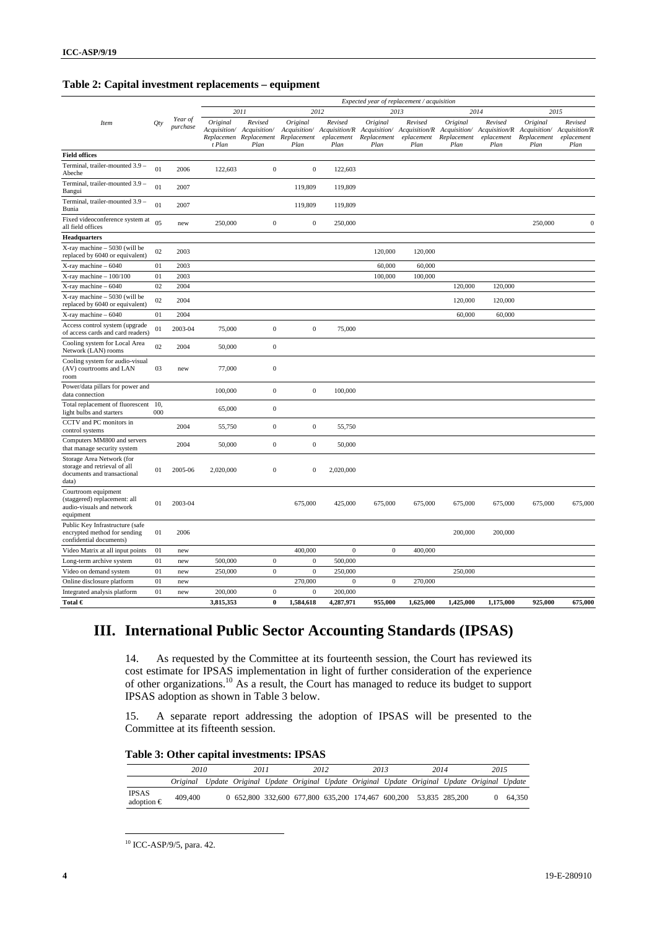### **Table 2: Capital investment replacements – equipment**

|                                                                                                   |                |                     |                    |                                                       |                  |                               |                  | Expected year of replacement / acquisition                                                                                                                                         |                                 |                               |                                 |                               |
|---------------------------------------------------------------------------------------------------|----------------|---------------------|--------------------|-------------------------------------------------------|------------------|-------------------------------|------------------|------------------------------------------------------------------------------------------------------------------------------------------------------------------------------------|---------------------------------|-------------------------------|---------------------------------|-------------------------------|
|                                                                                                   |                |                     |                    | 2011                                                  |                  | 2012                          |                  | 2013                                                                                                                                                                               |                                 | 2014                          |                                 | 2015                          |
| Item                                                                                              | <i>Qty</i>     | Year of<br>purchase | Original<br>t Plan | Revised<br>Replacemen Replacement Replacement<br>Plan | Original<br>Plan | Revised<br>eplacement<br>Plan | Original<br>Plan | Revised<br>Acquisition/ Acquisition/ Acquisition/ Acquisition/R Acquisition/ Acquisition/R Acquisition/ Acquisition/R Acquisition/ Acquisition/R<br>Replacement eplacement<br>Plan | Original<br>Replacement<br>Plan | Revised<br>eplacement<br>Plan | Original<br>Replacement<br>Plan | Revised<br>eplacement<br>Plan |
| <b>Field offices</b>                                                                              |                |                     |                    |                                                       |                  |                               |                  |                                                                                                                                                                                    |                                 |                               |                                 |                               |
| Terminal, trailer-mounted 3.9 -<br>Abeche                                                         | 01             | 2006                | 122,603            | $\Omega$                                              | $\mathbf{0}$     | 122,603                       |                  |                                                                                                                                                                                    |                                 |                               |                                 |                               |
| Terminal, trailer-mounted 3.9 -<br>Bangui                                                         | 01             | 2007                |                    |                                                       | 119,809          | 119,809                       |                  |                                                                                                                                                                                    |                                 |                               |                                 |                               |
| Terminal, trailer-mounted 3.9 -<br>Bunia                                                          | 01             | 2007                |                    |                                                       | 119,809          | 119,809                       |                  |                                                                                                                                                                                    |                                 |                               |                                 |                               |
| Fixed videoconference system at<br>all field offices                                              | 0 <sub>5</sub> | new                 | 250,000            | $\boldsymbol{0}$                                      | $\boldsymbol{0}$ | 250,000                       |                  |                                                                                                                                                                                    |                                 |                               | 250,000                         | $\Omega$                      |
| <b>Headquarters</b>                                                                               |                |                     |                    |                                                       |                  |                               |                  |                                                                                                                                                                                    |                                 |                               |                                 |                               |
| X-ray machine - 5030 (will be<br>replaced by 6040 or equivalent)                                  | 02             | 2003                |                    |                                                       |                  |                               | 120,000          | 120,000                                                                                                                                                                            |                                 |                               |                                 |                               |
| $X$ -ray machine $-6040$                                                                          | 01             | 2003                |                    |                                                       |                  |                               | 60,000           | 60,000                                                                                                                                                                             |                                 |                               |                                 |                               |
| $X$ -ray machine $-100/100$                                                                       | 01             | 2003                |                    |                                                       |                  |                               | 100,000          | 100,000                                                                                                                                                                            |                                 |                               |                                 |                               |
| $X$ -ray machine $-6040$                                                                          | 02             | 2004                |                    |                                                       |                  |                               |                  |                                                                                                                                                                                    | 120,000                         | 120,000                       |                                 |                               |
| X-ray machine - 5030 (will be<br>replaced by 6040 or equivalent)                                  | 02             | 2004                |                    |                                                       |                  |                               |                  |                                                                                                                                                                                    | 120,000                         | 120,000                       |                                 |                               |
| $X$ -ray machine $-6040$                                                                          | 01             | 2004                |                    |                                                       |                  |                               |                  |                                                                                                                                                                                    | 60,000                          | 60,000                        |                                 |                               |
| Access control system (upgrade<br>of access cards and card readers)                               | 01             | 2003-04             | 75,000             | $\mathbf{0}$                                          | $\boldsymbol{0}$ | 75,000                        |                  |                                                                                                                                                                                    |                                 |                               |                                 |                               |
| Cooling system for Local Area<br>Network (LAN) rooms                                              | 02             | 2004                | 50,000             | $\mathbf 0$                                           |                  |                               |                  |                                                                                                                                                                                    |                                 |                               |                                 |                               |
| Cooling system for audio-visual<br>(AV) courtrooms and LAN<br>room                                | 03             | new                 | 77,000             | $\boldsymbol{0}$                                      |                  |                               |                  |                                                                                                                                                                                    |                                 |                               |                                 |                               |
| Power/data pillars for power and<br>data connection                                               |                |                     | 100,000            | $\mathbf{0}$                                          | $\overline{0}$   | 100,000                       |                  |                                                                                                                                                                                    |                                 |                               |                                 |                               |
| Total replacement of fluorescent 10,<br>light bulbs and starters                                  | 000            |                     | 65,000             | $\boldsymbol{0}$                                      |                  |                               |                  |                                                                                                                                                                                    |                                 |                               |                                 |                               |
| CCTV and PC monitors in<br>control systems                                                        |                | 2004                | 55,750             | $\boldsymbol{0}$                                      | $\boldsymbol{0}$ | 55,750                        |                  |                                                                                                                                                                                    |                                 |                               |                                 |                               |
| Computers MM800 and servers<br>that manage security system                                        |                | 2004                | 50,000             | $\mathbf{0}$                                          | $\mathbf{0}$     | 50,000                        |                  |                                                                                                                                                                                    |                                 |                               |                                 |                               |
| Storage Area Network (for<br>storage and retrieval of all<br>documents and transactional<br>data) | 01             | 2005-06             | 2,020,000          | $\mathbf{0}$                                          | $\boldsymbol{0}$ | 2,020,000                     |                  |                                                                                                                                                                                    |                                 |                               |                                 |                               |
| Courtroom equipment<br>(staggered) replacement: all<br>audio-visuals and network<br>equipment     | 01             | 2003-04             |                    |                                                       | 675,000          | 425,000                       | 675,000          | 675,000                                                                                                                                                                            | 675,000                         | 675,000                       | 675,000                         | 675,000                       |
| Public Key Infrastructure (safe<br>encrypted method for sending<br>confidential documents)        | 01             | 2006                |                    |                                                       |                  |                               |                  |                                                                                                                                                                                    | 200,000                         | 200,000                       |                                 |                               |
| Video Matrix at all input points                                                                  | 01             | new                 |                    |                                                       | 400,000          | $\boldsymbol{0}$              | $\boldsymbol{0}$ | 400,000                                                                                                                                                                            |                                 |                               |                                 |                               |
| Long-term archive system                                                                          | 01             | new                 | 500,000            | $\mathbf{0}$                                          | $\mathbf{0}$     | 500,000                       |                  |                                                                                                                                                                                    |                                 |                               |                                 |                               |
| Video on demand system                                                                            | 01             | new                 | 250,000            | $\mathbf{0}$                                          | $\mathbf{0}$     | 250,000                       |                  |                                                                                                                                                                                    | 250,000                         |                               |                                 |                               |
| Online disclosure platform                                                                        | 01             | new                 |                    |                                                       | 270,000          | $\boldsymbol{0}$              | $\boldsymbol{0}$ | 270,000                                                                                                                                                                            |                                 |                               |                                 |                               |
| Integrated analysis platform                                                                      | 01             | new                 | 200,000            | $\overline{0}$                                        | $\overline{0}$   | 200,000                       |                  |                                                                                                                                                                                    |                                 |                               |                                 |                               |
| Total $\in$                                                                                       |                |                     | 3,815,353          | $\bf{0}$                                              | 1,584,618        | 4,287,971                     | 955,000          | 1,625,000                                                                                                                                                                          | 1,425,000                       | 1,175,000                     | 925,000                         | 675,000                       |

# **III. International Public Sector Accounting Standards (IPSAS)**

14. As requested by the Committee at its fourteenth session, the Court has reviewed its cost estimate for IPSAS implementation in light of further consideration of the experience of other organizations.<sup>10</sup> As a result, the Court has managed to reduce its budget to support IPSAS adoption as shown in Table 3 below.

15. A separate report addressing the adoption of IPSAS will be presented to the Committee at its fifteenth session.

|  |  |  | Table 3: Other capital investments: IPSAS |  |
|--|--|--|-------------------------------------------|--|
|--|--|--|-------------------------------------------|--|

|                              | 2010     | 2011                                                             | 2012 | 2013 | 2014 | 2015                                                                                   |        |
|------------------------------|----------|------------------------------------------------------------------|------|------|------|----------------------------------------------------------------------------------------|--------|
|                              | Original |                                                                  |      |      |      | Update Original Update Original Update Original Update Original Update Original Update |        |
| IPSAS<br>adoption $\epsilon$ | 409,400  | 0 652,800 332,600 677,800 635,200 174,467 600,200 53,835 285,200 |      |      |      |                                                                                        | 64.350 |

 $10$  ICC-ASP/9/5, para. 42.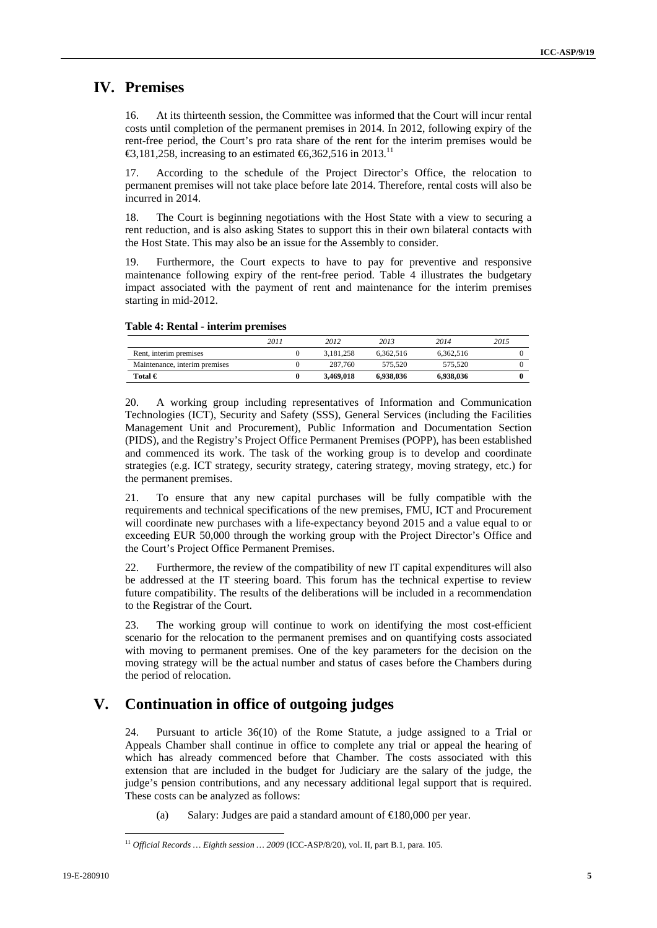# **IV. Premises**

16. At its thirteenth session, the Committee was informed that the Court will incur rental costs until completion of the permanent premises in 2014. In 2012, following expiry of the rent-free period, the Court's pro rata share of the rent for the interim premises would be €3,181,258, increasing to an estimated  $€$ 6,362,516 in 2013.<sup>11</sup>

17. According to the schedule of the Project Director's Office, the relocation to permanent premises will not take place before late 2014. Therefore, rental costs will also be incurred in 2014.

18. The Court is beginning negotiations with the Host State with a view to securing a rent reduction, and is also asking States to support this in their own bilateral contacts with the Host State. This may also be an issue for the Assembly to consider.

19. Furthermore, the Court expects to have to pay for preventive and responsive maintenance following expiry of the rent-free period. Table 4 illustrates the budgetary impact associated with the payment of rent and maintenance for the interim premises starting in mid-2012.

#### **Table 4: Rental - interim premises**

|                               | 2011 | 2012      | 2013      | 2014      | 2015 |
|-------------------------------|------|-----------|-----------|-----------|------|
| Rent, interim premises        |      | 3.181.258 | 6.362.516 | 6.362.516 |      |
| Maintenance, interim premises |      | 287.760   | 575.520   | 575,520   |      |
| Total $\in$                   |      | 3.469.018 | 6.938.036 | 6.938.036 |      |

20. A working group including representatives of Information and Communication Technologies (ICT), Security and Safety (SSS), General Services (including the Facilities Management Unit and Procurement), Public Information and Documentation Section (PIDS), and the Registry's Project Office Permanent Premises (POPP), has been established and commenced its work. The task of the working group is to develop and coordinate strategies (e.g. ICT strategy, security strategy, catering strategy, moving strategy, etc.) for the permanent premises.

21. To ensure that any new capital purchases will be fully compatible with the requirements and technical specifications of the new premises, FMU, ICT and Procurement will coordinate new purchases with a life-expectancy beyond 2015 and a value equal to or exceeding EUR 50,000 through the working group with the Project Director's Office and the Court's Project Office Permanent Premises.

22. Furthermore, the review of the compatibility of new IT capital expenditures will also be addressed at the IT steering board. This forum has the technical expertise to review future compatibility. The results of the deliberations will be included in a recommendation to the Registrar of the Court.

23. The working group will continue to work on identifying the most cost-efficient scenario for the relocation to the permanent premises and on quantifying costs associated with moving to permanent premises. One of the key parameters for the decision on the moving strategy will be the actual number and status of cases before the Chambers during the period of relocation.

# **V. Continuation in office of outgoing judges**

24. Pursuant to article 36(10) of the Rome Statute, a judge assigned to a Trial or Appeals Chamber shall continue in office to complete any trial or appeal the hearing of which has already commenced before that Chamber. The costs associated with this extension that are included in the budget for Judiciary are the salary of the judge, the judge's pension contributions, and any necessary additional legal support that is required. These costs can be analyzed as follows:

(a) Salary: Judges are paid a standard amount of  $\in$  80,000 per year.

<sup>11</sup> *Official Records … Eighth session … 2009* (ICC-ASP/8/20), vol. II, part B.1, para. 105.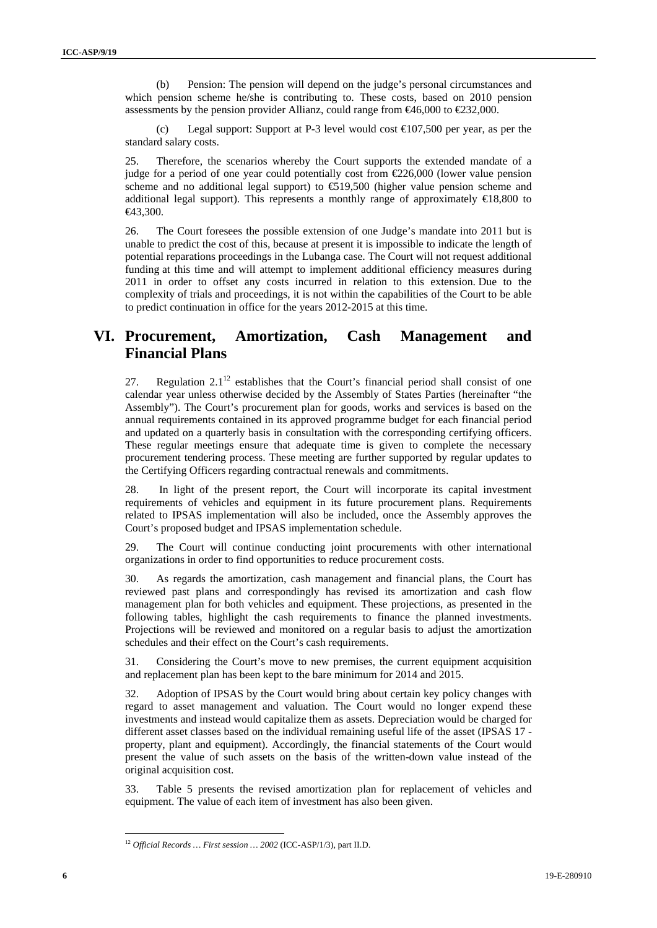(b) Pension: The pension will depend on the judge's personal circumstances and which pension scheme he/she is contributing to. These costs, based on 2010 pension assessments by the pension provider Allianz, could range from  $\epsilon 46,000$  to  $\epsilon 232,000$ .

(c) Legal support: Support at P-3 level would cost  $\bigoplus 07,500$  per year, as per the standard salary costs.

25. Therefore, the scenarios whereby the Court supports the extended mandate of a judge for a period of one year could potentially cost from  $\epsilon$ 226,000 (lower value pension scheme and no additional legal support) to €19,500 (higher value pension scheme and additional legal support). This represents a monthly range of approximately  $\in$ 18,800 to €43,300.

26. The Court foresees the possible extension of one Judge's mandate into 2011 but is unable to predict the cost of this, because at present it is impossible to indicate the length of potential reparations proceedings in the Lubanga case. The Court will not request additional funding at this time and will attempt to implement additional efficiency measures during 2011 in order to offset any costs incurred in relation to this extension. Due to the complexity of trials and proceedings, it is not within the capabilities of the Court to be able to predict continuation in office for the years 2012-2015 at this time.

# **VI. Procurement, Amortization, Cash Management and Financial Plans**

27. Regulation  $2.1<sup>12</sup>$  establishes that the Court's financial period shall consist of one calendar year unless otherwise decided by the Assembly of States Parties (hereinafter "the Assembly"). The Court's procurement plan for goods, works and services is based on the annual requirements contained in its approved programme budget for each financial period and updated on a quarterly basis in consultation with the corresponding certifying officers. These regular meetings ensure that adequate time is given to complete the necessary procurement tendering process. These meeting are further supported by regular updates to the Certifying Officers regarding contractual renewals and commitments.

28. In light of the present report, the Court will incorporate its capital investment requirements of vehicles and equipment in its future procurement plans. Requirements related to IPSAS implementation will also be included, once the Assembly approves the Court's proposed budget and IPSAS implementation schedule.

29. The Court will continue conducting joint procurements with other international organizations in order to find opportunities to reduce procurement costs.

30. As regards the amortization, cash management and financial plans, the Court has reviewed past plans and correspondingly has revised its amortization and cash flow management plan for both vehicles and equipment. These projections, as presented in the following tables, highlight the cash requirements to finance the planned investments. Projections will be reviewed and monitored on a regular basis to adjust the amortization schedules and their effect on the Court's cash requirements.

31. Considering the Court's move to new premises, the current equipment acquisition and replacement plan has been kept to the bare minimum for 2014 and 2015.

32. Adoption of IPSAS by the Court would bring about certain key policy changes with regard to asset management and valuation. The Court would no longer expend these investments and instead would capitalize them as assets. Depreciation would be charged for different asset classes based on the individual remaining useful life of the asset (IPSAS 17 property, plant and equipment). Accordingly, the financial statements of the Court would present the value of such assets on the basis of the written-down value instead of the original acquisition cost.

33. Table 5 presents the revised amortization plan for replacement of vehicles and equipment. The value of each item of investment has also been given.

<sup>12</sup> *Official Records … First session … 2002* (ICC-ASP/1/3), part II.D.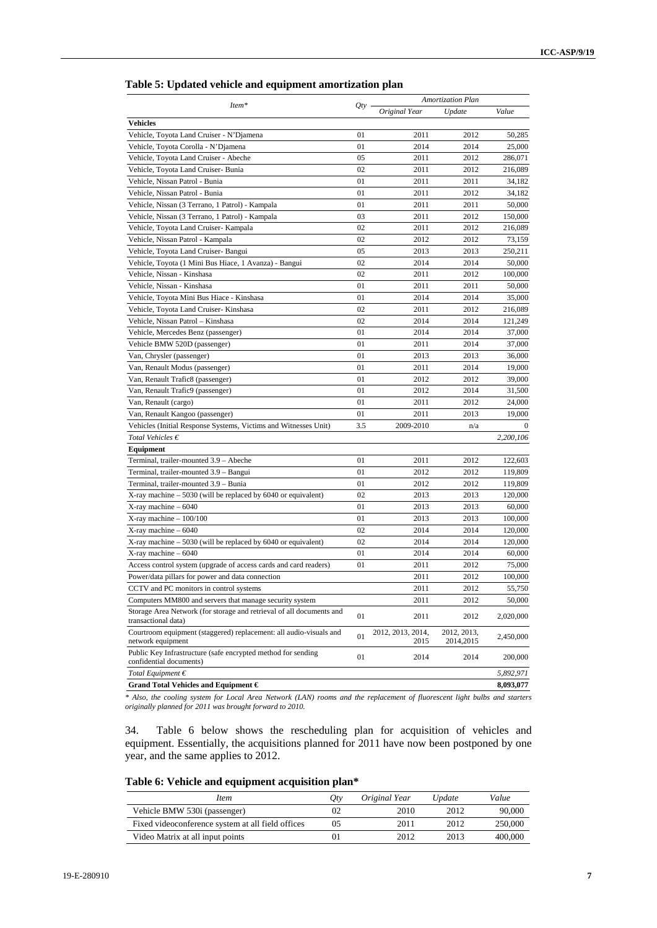| Table 5: Updated vehicle and equipment amortization plan |  |
|----------------------------------------------------------|--|
|----------------------------------------------------------|--|

|                                                                                             |     |                           | <b>Amortization Plan</b> |           |
|---------------------------------------------------------------------------------------------|-----|---------------------------|--------------------------|-----------|
| Item*                                                                                       | Qty | Original Year             | Update                   | Value     |
| <b>Vehicles</b>                                                                             |     |                           |                          |           |
| Vehicle, Toyota Land Cruiser - N'Djamena                                                    | 01  | 2011                      | 2012                     | 50,285    |
| Vehicle, Toyota Corolla - N'Djamena                                                         | 01  | 2014                      | 2014                     | 25,000    |
| Vehicle, Toyota Land Cruiser - Abeche                                                       | 05  | 2011                      | 2012                     | 286,071   |
| Vehicle, Toyota Land Cruiser- Bunia                                                         | 02  | 2011                      | 2012                     | 216,089   |
| Vehicle, Nissan Patrol - Bunia                                                              | 01  | 2011                      | 2011                     | 34,182    |
| Vehicle, Nissan Patrol - Bunia                                                              | 01  | 2011                      | 2012                     | 34,182    |
| Vehicle, Nissan (3 Terrano, 1 Patrol) - Kampala                                             | 01  | 2011                      | 2011                     | 50,000    |
| Vehicle, Nissan (3 Terrano, 1 Patrol) - Kampala                                             | 03  | 2011                      | 2012                     | 150,000   |
| Vehicle, Toyota Land Cruiser- Kampala                                                       | 02  | 2011                      | 2012                     | 216,089   |
| Vehicle, Nissan Patrol - Kampala                                                            | 02  | 2012                      | 2012                     | 73,159    |
| Vehicle, Toyota Land Cruiser- Bangui                                                        | 05  | 2013                      | 2013                     | 250,211   |
| Vehicle, Toyota (1 Mini Bus Hiace, 1 Avanza) - Bangui                                       | 02  | 2014                      | 2014                     | 50,000    |
| Vehicle, Nissan - Kinshasa                                                                  | 02  | 2011                      | 2012                     | 100,000   |
| Vehicle, Nissan - Kinshasa                                                                  | 01  | 2011                      | 2011                     | 50,000    |
| Vehicle, Toyota Mini Bus Hiace - Kinshasa                                                   | 01  | 2014                      | 2014                     | 35,000    |
| Vehicle, Toyota Land Cruiser- Kinshasa                                                      | 02  | 2011                      | 2012                     | 216,089   |
| Vehicle, Nissan Patrol - Kinshasa                                                           | 02  | 2014                      | 2014                     | 121,249   |
| Vehicle, Mercedes Benz (passenger)                                                          | 01  | 2014                      | 2014                     | 37,000    |
| Vehicle BMW 520D (passenger)                                                                | 01  | 2011                      | 2014                     | 37,000    |
| Van, Chrysler (passenger)                                                                   | 01  | 2013                      | 2013                     | 36,000    |
| Van, Renault Modus (passenger)                                                              | 01  | 2011                      | 2014                     | 19.000    |
| Van, Renault Trafic8 (passenger)                                                            | 01  | 2012                      | 2012                     | 39,000    |
| Van, Renault Trafic9 (passenger)                                                            | 01  | 2012                      | 2014                     | 31,500    |
| Van, Renault (cargo)                                                                        | 01  | 2011                      | 2012                     | 24,000    |
| Van, Renault Kangoo (passenger)                                                             | 01  | 2011                      | 2013                     | 19,000    |
| Vehicles (Initial Response Systems, Victims and Witnesses Unit)                             | 3.5 | 2009-2010                 | n/a                      | $\Omega$  |
| Total Vehicles $\epsilon$                                                                   |     |                           |                          | 2,200,106 |
| Equipment                                                                                   |     |                           |                          |           |
| Terminal, trailer-mounted 3.9 - Abeche                                                      | 01  | 2011                      | 2012                     | 122,603   |
| Terminal, trailer-mounted 3.9 - Bangui                                                      | 01  | 2012                      | 2012                     | 119,809   |
| Terminal, trailer-mounted 3.9 - Bunia                                                       | 01  | 2012                      | 2012                     | 119,809   |
| $X$ -ray machine $-5030$ (will be replaced by 6040 or equivalent)                           | 02  | 2013                      | 2013                     | 120,000   |
| X-ray machine - 6040                                                                        | 01  | 2013                      | 2013                     | 60,000    |
| $X$ -ray machine $-100/100$                                                                 | 01  | 2013                      | 2013                     | 100,000   |
| $X$ -ray machine - 6040                                                                     | 02  | 2014                      | 2014                     | 120,000   |
| $X$ -ray machine $-5030$ (will be replaced by 6040 or equivalent)                           | 02  | 2014                      | 2014                     | 120,000   |
| X-ray machine - 6040                                                                        | 01  | 2014                      | 2014                     | 60,000    |
| Access control system (upgrade of access cards and card readers)                            | 01  | 2011                      | 2012                     | 75,000    |
| Power/data pillars for power and data connection                                            |     | 2011                      | 2012                     | 100,000   |
| CCTV and PC monitors in control systems                                                     |     | 2011                      | 2012                     | 55,750    |
| Computers MM800 and servers that manage security system                                     |     | 2011                      | 2012                     | 50,000    |
| Storage Area Network (for storage and retrieval of all documents and<br>transactional data) | 01  | 2011                      | 2012                     | 2,020,000 |
| Courtroom equipment (staggered) replacement: all audio-visuals and<br>network equipment     | 01  | 2012, 2013, 2014,<br>2015 | 2012, 2013,<br>2014,2015 | 2,450,000 |
| Public Key Infrastructure (safe encrypted method for sending<br>confidential documents)     | 01  | 2014                      | 2014                     | 200,000   |
| Total Equipment $\epsilon$                                                                  |     |                           |                          | 5,892,971 |
| Grand Total Vehicles and Equipment €                                                        |     |                           |                          | 8,093,077 |

*\* Also, the cooling system for Local Area Network (LAN) rooms and the replacement of fluorescent light bulbs and starters originally planned for 2011 was brought forward to 2010.* 

34. Table 6 below shows the rescheduling plan for acquisition of vehicles and equipment. Essentially, the acquisitions planned for 2011 have now been postponed by one year, and the same applies to 2012.

**Table 6: Vehicle and equipment acquisition plan\*** 

| <i>Item</i>                                       | Uħ | Original Year | Update | Value   |
|---------------------------------------------------|----|---------------|--------|---------|
| Vehicle BMW 530i (passenger)                      | 02 | 2010          | 2012   | 90,000  |
| Fixed videoconference system at all field offices | 05 | 2011          | 2012   | 250,000 |
| Video Matrix at all input points                  |    | 2012          | 2013   | 400,000 |